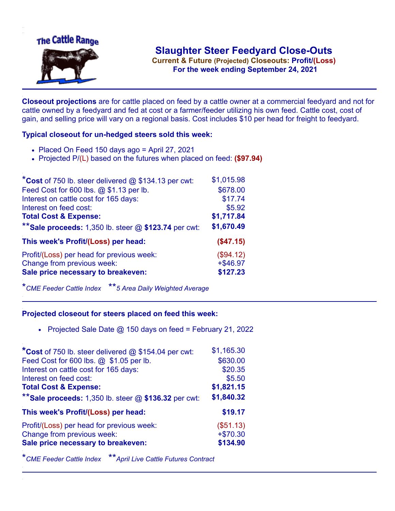

.**For the week ending September 24, 2021**

**Closeout projections** are for cattle placed on feed by a cattle owner at a commercial feedyard and not for cattle owned by a feedyard and fed at cost or a farmer/feeder utilizing his own feed. Cattle cost, cost of gain, and selling price will vary on a regional basis. Cost includes \$10 per head for freight to feedyard.

## **Typical closeout for un-hedged steers sold this week:**

- Placed On Feed 150 days ago = April 27, 2021
- Projected P/(L) based on the futures when placed on feed: **(\$97.94)**

| *Cost of 750 lb. steer delivered $@$ \$134.13 per cwt:  | \$1,015.98  |
|---------------------------------------------------------|-------------|
| Feed Cost for 600 lbs. @ \$1.13 per lb.                 | \$678.00    |
| Interest on cattle cost for 165 days:                   | \$17.74     |
| Interest on feed cost:                                  | \$5.92      |
| <b>Total Cost &amp; Expense:</b>                        | \$1,717.84  |
| ** Sale proceeds: 1,350 lb. steer $@$ \$123.74 per cwt: | \$1,670.49  |
| This week's Profit/(Loss) per head:                     | (\$47.15)   |
| Profit/(Loss) per head for previous week:               | (\$94.12)   |
| Change from previous week:                              | $+$ \$46.97 |
| Sale price necessary to breakeven:                      | \$127.23    |

\**CME Feeder Cattle Index* \*\**5 Area Daily Weighted Average*

## **Projected closeout for steers placed on feed this week:**

• Projected Sale Date  $@$  150 days on feed = February 21, 2022

| \$1,165.30 |
|------------|
| \$630.00   |
| \$20.35    |
| \$5.50     |
| \$1,821.15 |
| \$1,840.32 |
| \$19.17    |
| (\$51.13)  |
| $+ $70.30$ |
| \$134.90   |
|            |

\**CME Feeder Cattle Index* \*\**April Live Cattle Futures Contract*